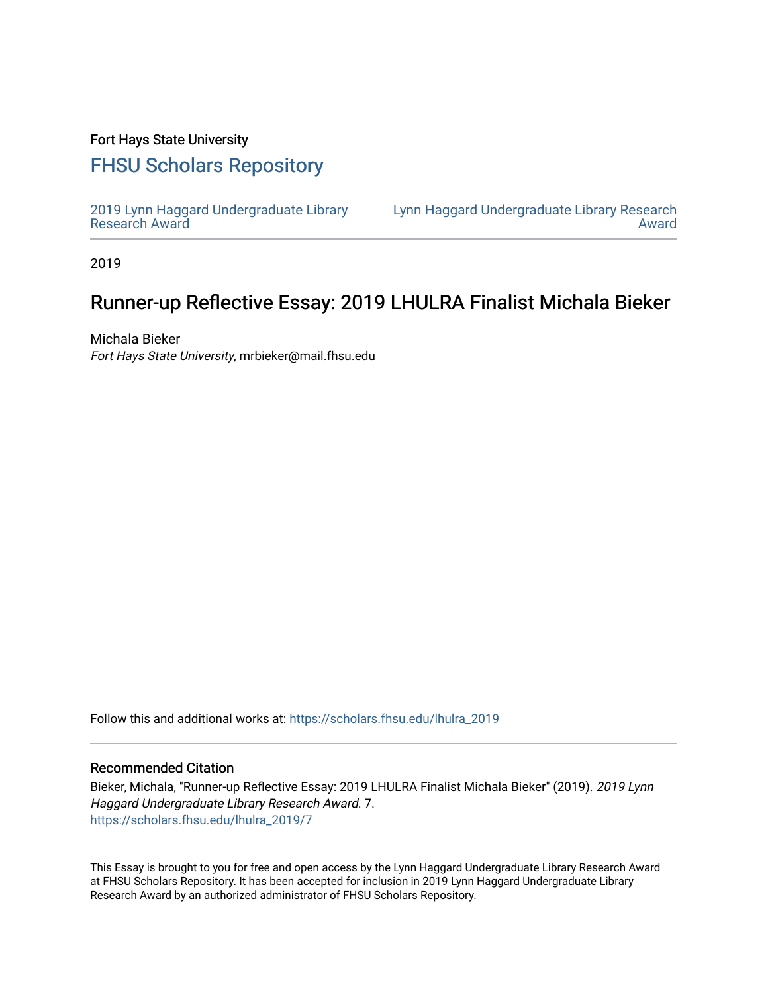### Fort Hays State University

# [FHSU Scholars Repository](https://scholars.fhsu.edu/)

[2019 Lynn Haggard Undergraduate Library](https://scholars.fhsu.edu/lhulra_2019)  [Research Award](https://scholars.fhsu.edu/lhulra_2019)

[Lynn Haggard Undergraduate Library Research](https://scholars.fhsu.edu/lhulra)  [Award](https://scholars.fhsu.edu/lhulra) 

2019

## Runner-up Reflective Essay: 2019 LHULRA Finalist Michala Bieker

Michala Bieker Fort Hays State University, mrbieker@mail.fhsu.edu

Follow this and additional works at: [https://scholars.fhsu.edu/lhulra\\_2019](https://scholars.fhsu.edu/lhulra_2019?utm_source=scholars.fhsu.edu%2Flhulra_2019%2F7&utm_medium=PDF&utm_campaign=PDFCoverPages)

#### Recommended Citation

Bieker, Michala, "Runner-up Reflective Essay: 2019 LHULRA Finalist Michala Bieker" (2019). 2019 Lynn Haggard Undergraduate Library Research Award. 7. [https://scholars.fhsu.edu/lhulra\\_2019/7](https://scholars.fhsu.edu/lhulra_2019/7?utm_source=scholars.fhsu.edu%2Flhulra_2019%2F7&utm_medium=PDF&utm_campaign=PDFCoverPages)

This Essay is brought to you for free and open access by the Lynn Haggard Undergraduate Library Research Award at FHSU Scholars Repository. It has been accepted for inclusion in 2019 Lynn Haggard Undergraduate Library Research Award by an authorized administrator of FHSU Scholars Repository.